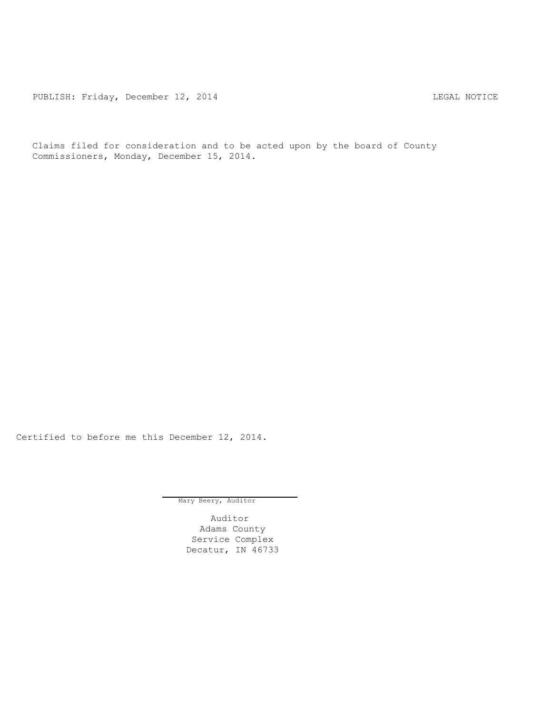PUBLISH: Friday, December 12, 2014 CHA CHARL MOTICE

Claims filed for consideration and to be acted upon by the board of County Commissioners, Monday, December 15, 2014.

Certified to before me this December 12, 2014.

Mary Beery, Auditor

Auditor Adams County Service Complex Decatur, IN 46733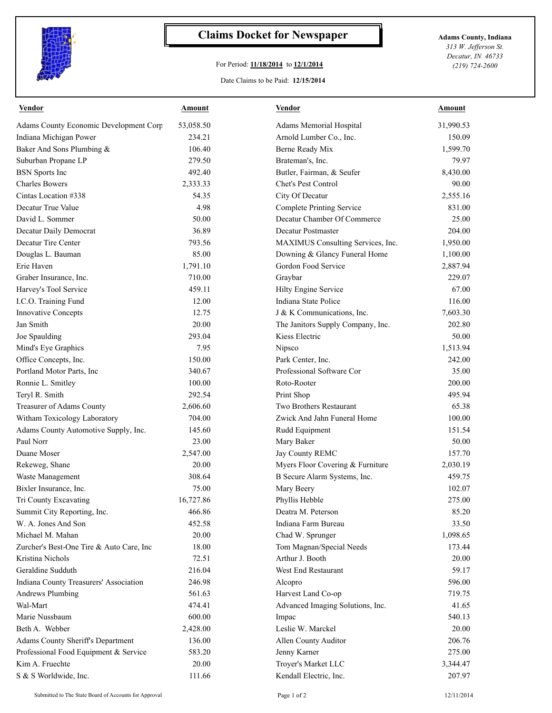

## **Claims Docket for Newspaper Adams County, Indiana**

## For Period: **11/18/2014** to **12/1/2014**

Date Claims to be Paid: **12/15/2014**

*313 W. Jefferson St. Decatur, IN 46733 (219) 724-2600*

| <b>Vendor</b>                            | <b>Amount</b> | <b>Vendor</b>                     | <b>Amount</b> |
|------------------------------------------|---------------|-----------------------------------|---------------|
| Adams County Economic Development Corp   | 53,058.50     | Adams Memorial Hospital           | 31,990.53     |
| Indiana Michigan Power                   | 234.21        | Arnold Lumber Co., Inc.           | 150.09        |
| Baker And Sons Plumbing &                | 106.40        | Berne Ready Mix                   | 1,599.70      |
| Suburban Propane LP                      | 279.50        | Brateman's, Inc.                  | 79.97         |
| <b>BSN</b> Sports Inc                    | 492.40        | Butler, Fairman, & Seufer         | 8,430.00      |
| <b>Charles Bowers</b>                    | 2,333.33      | Chet's Pest Control               | 90.00         |
| Cintas Location #338                     | 54.35         | City Of Decatur                   | 2,555.16      |
| Decatur True Value                       | 4.98          | <b>Complete Printing Service</b>  | 831.00        |
| David L. Sommer                          | 50.00         | Decatur Chamber Of Commerce       | 25.00         |
| Decatur Daily Democrat                   | 36.89         | Decatur Postmaster                | 204.00        |
| Decatur Tire Center                      | 793.56        | MAXIMUS Consulting Services, Inc. | 1,950.00      |
| Douglas L. Bauman                        | 85.00         | Downing & Glancy Funeral Home     | 1,100.00      |
| Erie Haven                               | 1,791.10      | Gordon Food Service               | 2,887.94      |
| Graber Insurance, Inc.                   | 710.00        | Graybar                           | 229.07        |
| Harvey's Tool Service                    | 459.11        | Hilty Engine Service              | 67.00         |
| I.C.O. Training Fund                     | 12.00         | Indiana State Police              | 116.00        |
| <b>Innovative Concepts</b>               | 12.75         | J & K Communications, Inc.        | 7,603.30      |
| Jan Smith                                | 20.00         | The Janitors Supply Company, Inc. | 202.80        |
| Joe Spaulding                            | 293.04        | Kiess Electric                    | 50.00         |
| Mind's Eye Graphics                      | 7.95          | Nipsco                            | 1,513.94      |
| Office Concepts, Inc.                    | 150.00        | Park Center, Inc.                 | 242.00        |
| Portland Motor Parts, Inc                | 340.67        | Professional Software Cor         | 35.00         |
| Ronnie L. Smitley                        | 100.00        | Roto-Rooter                       | 200.00        |
| Teryl R. Smith                           | 292.54        | Print Shop                        | 495.94        |
| Treasurer of Adams County                | 2,606.60      | Two Brothers Restaurant           | 65.38         |
| Witham Toxicology Laboratory             | 704.00        | Zwick And Jahn Funeral Home       | 100.00        |
| Adams County Automotive Supply, Inc.     | 145.60        | Rudd Equipment                    | 151.54        |
| Paul Norr                                | 23.00         | Mary Baker                        | 50.00         |
| Duane Moser                              | 2,547.00      | Jay County REMC                   | 157.70        |
| Rekeweg, Shane                           | 20.00         | Myers Floor Covering & Furniture  | 2,030.19      |
| Waste Management                         | 308.64        | B Secure Alarm Systems, Inc.      | 459.75        |
| Bixler Insurance, Inc.                   | 75.00         | Mary Beery                        | 102.07        |
| Tri County Excavating                    | 16,727.86     | Phyllis Hebble                    | 275.00        |
| Summit City Reporting, Inc.              | 466.86        | Deatra M. Peterson                | 85.20         |
| W. A. Jones And Son                      | 452.58        | Indiana Farm Bureau               | 33.50         |
| Michael M. Mahan                         | 20.00         | Chad W. Sprunger                  | 1,098.65      |
| Zurcher's Best-One Tire & Auto Care, Inc | 18.00         | Tom Magnan/Special Needs          | 173.44        |
| Kristina Nichols                         | 72.51         | Arthur J. Booth                   | 20.00         |
| Geraldine Sudduth                        | 216.04        | West End Restaurant               | 59.17         |
| Indiana County Treasurers' Association   | 246.98        | Alcopro                           | 596.00        |
| <b>Andrews Plumbing</b>                  | 561.63        | Harvest Land Co-op                | 719.75        |
| Wal-Mart                                 | 474.41        | Advanced Imaging Solutions, Inc.  | 41.65         |
| Marie Nussbaum                           | 600.00        | Impac                             | 540.13        |
| Beth A. Webber                           | 2,428.00      | Leslie W. Marckel                 | 20.00         |
| <b>Adams County Sheriff's Department</b> | 136.00        | Allen County Auditor              | 206.76        |
| Professional Food Equipment & Service    | 583.20        | Jenny Karner                      | 275.00        |
| Kim A. Fruechte                          | 20.00         | Troyer's Market LLC               | 3,344.47      |
| S & S Worldwide, Inc.                    | 111.66        | Kendall Electric, Inc.            | 207.97        |